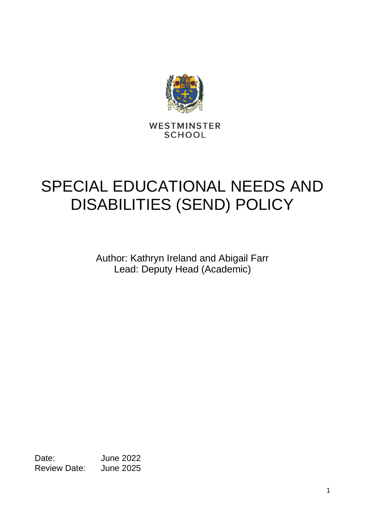

WESTMINSTER **SCHOOL** 

# SPECIAL EDUCATIONAL NEEDS AND DISABILITIES (SEND) POLICY

Author: Kathryn Ireland and Abigail Farr Lead: Deputy Head (Academic)

Date: **June 2022** Review Date: June 2025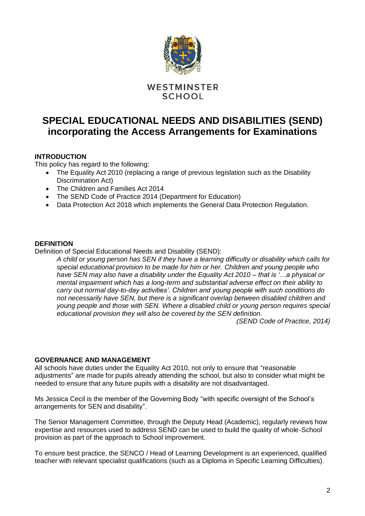

### WESTMINSTER **SCHOOL**

## **SPECIAL EDUCATIONAL NEEDS AND DISABILITIES (SEND) incorporating the Access Arrangements for Examinations**

#### **INTRODUCTION**

This policy has regard to the following:

- The Equality Act 2010 (replacing a range of previous legislation such as the Disability Discrimination Act)
- The Children and Families Act 2014
- The SEND Code of Practice 2014 (Department for Education)
- Data Protection Act 2018 which implements the General Data Protection Regulation.

#### **DEFINITION**

Definition of Special Educational Needs and Disability (SEND):

*A child or young person has SEN if they have a learning difficulty or disability which calls for special educational provision to be made for him or her. Children and young people who have SEN may also have a disability under the Equality Act 2010 – that is '…a physical or mental impairment which has a long-term and substantial adverse effect on their ability to carry out normal day-to-day activities'. Children and young people with such conditions do not necessarily have SEN, but there is a significant overlap between disabled children and young people and those with SEN. Where a disabled child or young person requires special educational provision they will also be covered by the SEN definition.*

*(SEND Code of Practice, 2014)*

#### **GOVERNANCE AND MANAGEMENT**

All schools have duties under the Equality Act 2010, not only to ensure that "reasonable adjustments" are made for pupils already attending the school, but also to consider what might be needed to ensure that any future pupils with a disability are not disadvantaged.

Ms Jessica Cecil is the member of the Governing Body "with specific oversight of the School's arrangements for SEN and disability".

The Senior Management Committee, through the Deputy Head (Academic), regularly reviews how expertise and resources used to address SEND can be used to build the quality of whole-School provision as part of the approach to School improvement.

To ensure best practice, the SENCO / Head of Learning Development is an experienced, qualified teacher with relevant specialist qualifications (such as a Diploma in Specific Learning Difficulties).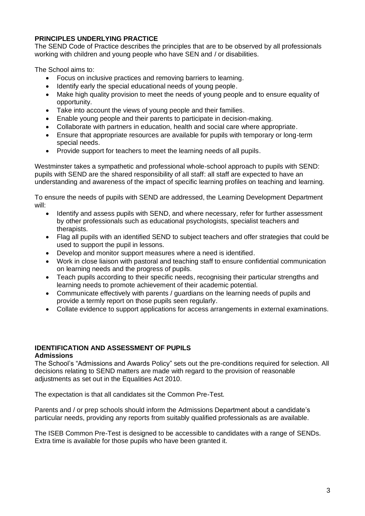#### **PRINCIPLES UNDERLYING PRACTICE**

The SEND Code of Practice describes the principles that are to be observed by all professionals working with children and young people who have SEN and / or disabilities.

The School aims to:

- Focus on inclusive practices and removing barriers to learning.
- Identify early the special educational needs of young people.
- Make high quality provision to meet the needs of young people and to ensure equality of opportunity.
- Take into account the views of young people and their families.
- Enable young people and their parents to participate in decision-making.
- Collaborate with partners in education, health and social care where appropriate.
- Ensure that appropriate resources are available for pupils with temporary or long-term special needs.
- Provide support for teachers to meet the learning needs of all pupils.

Westminster takes a sympathetic and professional whole-school approach to pupils with SEND: pupils with SEND are the shared responsibility of all staff: all staff are expected to have an understanding and awareness of the impact of specific learning profiles on teaching and learning.

To ensure the needs of pupils with SEND are addressed, the Learning Development Department will:

- Identify and assess pupils with SEND, and where necessary, refer for further assessment by other professionals such as educational psychologists, specialist teachers and therapists.
- Flag all pupils with an identified SEND to subject teachers and offer strategies that could be used to support the pupil in lessons.
- Develop and monitor support measures where a need is identified.
- Work in close liaison with pastoral and teaching staff to ensure confidential communication on learning needs and the progress of pupils.
- Teach pupils according to their specific needs, recognising their particular strengths and learning needs to promote achievement of their academic potential.
- Communicate effectively with parents / guardians on the learning needs of pupils and provide a termly report on those pupils seen regularly.
- Collate evidence to support applications for access arrangements in external examinations.

## **IDENTIFICATION AND ASSESSMENT OF PUPILS**

#### **Admissions**

The School's "Admissions and Awards Policy" sets out the pre-conditions required for selection. All decisions relating to SEND matters are made with regard to the provision of reasonable adjustments as set out in the Equalities Act 2010.

The expectation is that all candidates sit the Common Pre-Test.

Parents and / or prep schools should inform the Admissions Department about a candidate's particular needs, providing any reports from suitably qualified professionals as are available.

The ISEB Common Pre-Test is designed to be accessible to candidates with a range of SENDs. Extra time is available for those pupils who have been granted it.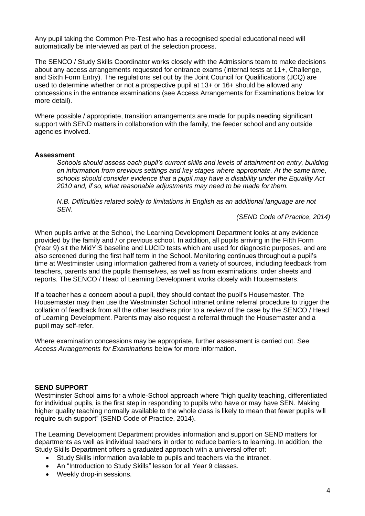Any pupil taking the Common Pre-Test who has a recognised special educational need will automatically be interviewed as part of the selection process.

The SENCO / Study Skills Coordinator works closely with the Admissions team to make decisions about any access arrangements requested for entrance exams (internal tests at 11+, Challenge, and Sixth Form Entry). The regulations set out by the Joint Council for Qualifications (JCQ) are used to determine whether or not a prospective pupil at 13+ or 16+ should be allowed any concessions in the entrance examinations (see Access Arrangements for Examinations below for more detail).

Where possible / appropriate, transition arrangements are made for pupils needing significant support with SEND matters in collaboration with the family, the feeder school and any outside agencies involved.

#### **Assessment**

*Schools should assess each pupil's current skills and levels of attainment on entry, building on information from previous settings and key stages where appropriate. At the same time, schools should consider evidence that a pupil may have a disability under the Equality Act 2010 and, if so, what reasonable adjustments may need to be made for them.*

*N.B. Difficulties related solely to limitations in English as an additional language are not SEN.*

*(SEND Code of Practice, 2014)*

When pupils arrive at the School, the Learning Development Department looks at any evidence provided by the family and / or previous school. In addition, all pupils arriving in the Fifth Form (Year 9) sit the MidYIS baseline and LUCID tests which are used for diagnostic purposes, and are also screened during the first half term in the School. Monitoring continues throughout a pupil's time at Westminster using information gathered from a variety of sources, including feedback from teachers, parents and the pupils themselves, as well as from examinations, order sheets and reports. The SENCO / Head of Learning Development works closely with Housemasters.

If a teacher has a concern about a pupil, they should contact the pupil's Housemaster. The Housemaster may then use the Westminster School intranet online referral procedure to trigger the collation of feedback from all the other teachers prior to a review of the case by the SENCO / Head of Learning Development. Parents may also request a referral through the Housemaster and a pupil may self-refer.

Where examination concessions may be appropriate, further assessment is carried out. See *Access Arrangements for Examinations* below for more information.

#### **SEND SUPPORT**

Westminster School aims for a whole-School approach where "high quality teaching, differentiated for individual pupils, is the first step in responding to pupils who have or may have SEN. Making higher quality teaching normally available to the whole class is likely to mean that fewer pupils will require such support" (SEND Code of Practice, 2014).

The Learning Development Department provides information and support on SEND matters for departments as well as individual teachers in order to reduce barriers to learning. In addition, the Study Skills Department offers a graduated approach with a universal offer of:

- Study Skills information available to pupils and teachers via the intranet.
- An "Introduction to Study Skills" lesson for all Year 9 classes.
- Weekly drop-in sessions.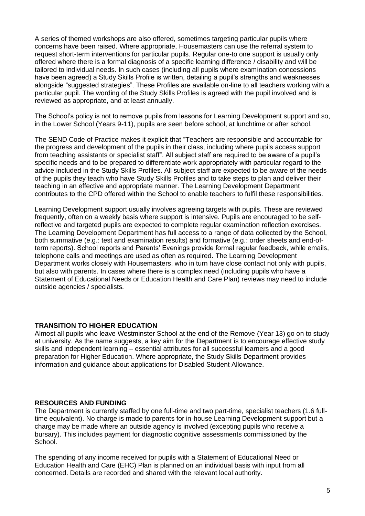A series of themed workshops are also offered, sometimes targeting particular pupils where concerns have been raised. Where appropriate, Housemasters can use the referral system to request short-term interventions for particular pupils. Regular one-to one support is usually only offered where there is a formal diagnosis of a specific learning difference / disability and will be tailored to individual needs. In such cases (including all pupils where examination concessions have been agreed) a Study Skills Profile is written, detailing a pupil's strengths and weaknesses alongside "suggested strategies". These Profiles are available on-line to all teachers working with a particular pupil. The wording of the Study Skills Profiles is agreed with the pupil involved and is reviewed as appropriate, and at least annually.

The School's policy is not to remove pupils from lessons for Learning Development support and so, in the Lower School (Years 9-11), pupils are seen before school, at lunchtime or after school.

The SEND Code of Practice makes it explicit that "Teachers are responsible and accountable for the progress and development of the pupils in their class, including where pupils access support from teaching assistants or specialist staff". All subject staff are required to be aware of a pupil's specific needs and to be prepared to differentiate work appropriately with particular regard to the advice included in the Study Skills Profiles. All subject staff are expected to be aware of the needs of the pupils they teach who have Study Skills Profiles and to take steps to plan and deliver their teaching in an effective and appropriate manner. The Learning Development Department contributes to the CPD offered within the School to enable teachers to fulfil these responsibilities.

Learning Development support usually involves agreeing targets with pupils. These are reviewed frequently, often on a weekly basis where support is intensive. Pupils are encouraged to be selfreflective and targeted pupils are expected to complete regular examination reflection exercises. The Learning Development Department has full access to a range of data collected by the School, both summative (e.g.: test and examination results) and formative (e.g.: order sheets and end-ofterm reports). School reports and Parents' Evenings provide formal regular feedback, while emails, telephone calls and meetings are used as often as required. The Learning Development Department works closely with Housemasters, who in turn have close contact not only with pupils, but also with parents. In cases where there is a complex need (including pupils who have a Statement of Educational Needs or Education Health and Care Plan) reviews may need to include outside agencies / specialists.

#### **TRANSITION TO HIGHER EDUCATION**

Almost all pupils who leave Westminster School at the end of the Remove (Year 13) go on to study at university. As the name suggests, a key aim for the Department is to encourage effective study skills and independent learning – essential attributes for all successful learners and a good preparation for Higher Education. Where appropriate, the Study Skills Department provides information and guidance about applications for Disabled Student Allowance.

#### **RESOURCES AND FUNDING**

The Department is currently staffed by one full-time and two part-time, specialist teachers (1.6 fulltime equivalent). No charge is made to parents for in-house Learning Development support but a charge may be made where an outside agency is involved (excepting pupils who receive a bursary). This includes payment for diagnostic cognitive assessments commissioned by the School.

The spending of any income received for pupils with a Statement of Educational Need or Education Health and Care (EHC) Plan is planned on an individual basis with input from all concerned. Details are recorded and shared with the relevant local authority.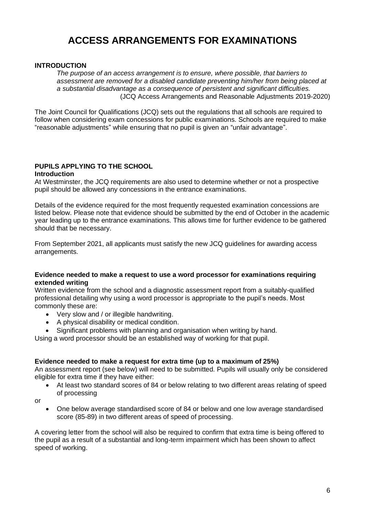## **ACCESS ARRANGEMENTS FOR EXAMINATIONS**

#### **INTRODUCTION**

*The purpose of an access arrangement is to ensure, where possible, that barriers to assessment are removed for a disabled candidate preventing him/her from being placed at a substantial disadvantage as a consequence of persistent and significant difficulties.* (JCQ Access Arrangements and Reasonable Adjustments 2019-2020)

The Joint Council for Qualifications (JCQ) sets out the regulations that all schools are required to follow when considering exam concessions for public examinations. Schools are required to make "reasonable adjustments" while ensuring that no pupil is given an "unfair advantage".

#### **PUPILS APPLYING TO THE SCHOOL**

#### **Introduction**

At Westminster, the JCQ requirements are also used to determine whether or not a prospective pupil should be allowed any concessions in the entrance examinations.

Details of the evidence required for the most frequently requested examination concessions are listed below. Please note that evidence should be submitted by the end of October in the academic year leading up to the entrance examinations. This allows time for further evidence to be gathered should that be necessary.

From September 2021, all applicants must satisfy the new JCQ guidelines for awarding access arrangements.

#### **Evidence needed to make a request to use a word processor for examinations requiring extended writing**

Written evidence from the school and a diagnostic assessment report from a suitably-qualified professional detailing why using a word processor is appropriate to the pupil's needs. Most commonly these are:

- Very slow and / or illegible handwriting.
- A physical disability or medical condition.
- Significant problems with planning and organisation when writing by hand.

Using a word processor should be an established way of working for that pupil.

#### **Evidence needed to make a request for extra time (up to a maximum of 25%)**

An assessment report (see below) will need to be submitted. Pupils will usually only be considered eligible for extra time if they have either:

• At least two standard scores of 84 or below relating to two different areas relating of speed of processing

or

• One below average standardised score of 84 or below and one low average standardised score (85-89) in two different areas of speed of processing.

A covering letter from the school will also be required to confirm that extra time is being offered to the pupil as a result of a substantial and long-term impairment which has been shown to affect speed of working.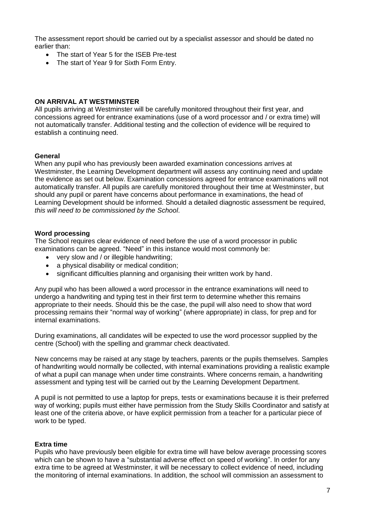The assessment report should be carried out by a specialist assessor and should be dated no earlier than:

- The start of Year 5 for the ISEB Pre-test
- The start of Year 9 for Sixth Form Entry.

#### **ON ARRIVAL AT WESTMINSTER**

All pupils arriving at Westminster will be carefully monitored throughout their first year, and concessions agreed for entrance examinations (use of a word processor and / or extra time) will not automatically transfer. Additional testing and the collection of evidence will be required to establish a continuing need.

#### **General**

When any pupil who has previously been awarded examination concessions arrives at Westminster, the Learning Development department will assess any continuing need and update the evidence as set out below. Examination concessions agreed for entrance examinations will not automatically transfer. All pupils are carefully monitored throughout their time at Westminster, but should any pupil or parent have concerns about performance in examinations, the head of Learning Development should be informed. Should a detailed diagnostic assessment be required, *this will need to be commissioned by the School*.

#### **Word processing**

The School requires clear evidence of need before the use of a word processor in public examinations can be agreed. "Need" in this instance would most commonly be:

- very slow and / or illegible handwriting;
- a physical disability or medical condition;
- significant difficulties planning and organising their written work by hand.

Any pupil who has been allowed a word processor in the entrance examinations will need to undergo a handwriting and typing test in their first term to determine whether this remains appropriate to their needs. Should this be the case, the pupil will also need to show that word processing remains their "normal way of working" (where appropriate) in class, for prep and for internal examinations.

During examinations, all candidates will be expected to use the word processor supplied by the centre (School) with the spelling and grammar check deactivated.

New concerns may be raised at any stage by teachers, parents or the pupils themselves. Samples of handwriting would normally be collected, with internal examinations providing a realistic example of what a pupil can manage when under time constraints. Where concerns remain, a handwriting assessment and typing test will be carried out by the Learning Development Department.

A pupil is not permitted to use a laptop for preps, tests or examinations because it is their preferred way of working; pupils must either have permission from the Study Skills Coordinator and satisfy at least one of the criteria above, or have explicit permission from a teacher for a particular piece of work to be typed.

#### **Extra time**

Pupils who have previously been eligible for extra time will have below average processing scores which can be shown to have a "substantial adverse effect on speed of working". In order for any extra time to be agreed at Westminster, it will be necessary to collect evidence of need, including the monitoring of internal examinations. In addition, the school will commission an assessment to